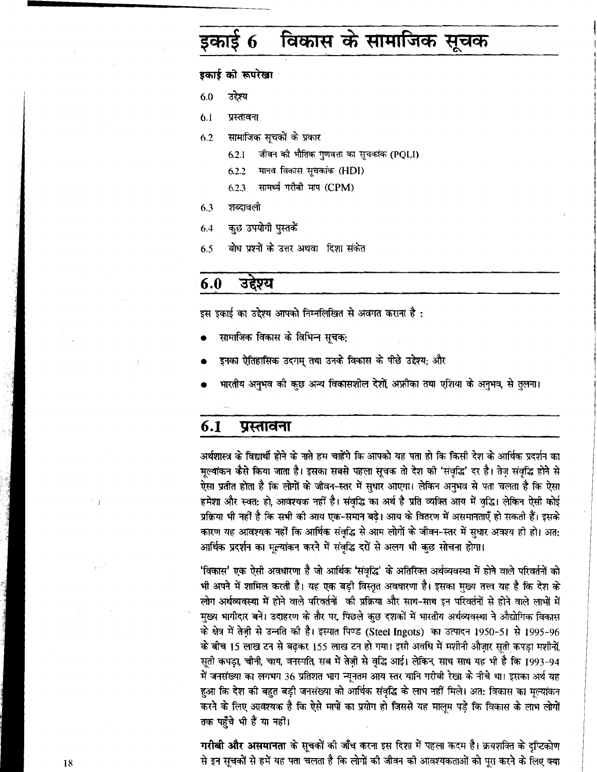# विकास के सामाजिक सूचक 6

## इकाई को रूपरेखा

6.0 उद्देश्य

प्रस्तावना  $6.1$ 

 $6.2$ सामाजिक सूचकों के प्रकार

- जीवन की भौतिक गुणवत्ता का सूचकांक (PQLI)  $6.2.1$
- मानव विकास सूचकांक (HDI)  $6.2.2$
- सामर्थ्य गरीबी माप (CPM)  $6.2.3$
- शब्दावली  $6.3$
- कुछ उपयोगी पुस्तकें 6.4
- बोध प्रश्नों के उत्तर अथवा दिशा संकेत 6.5

#### 6.0 उद्देश्य

इस इकाई का उद्देश्य आपको निम्नलिखित से अवगत कराना है :

- सामाजिक विकास के विभिन्न सूचक;
- इनका ऐतिहासिक उदगम् तथा उनके विकास के पीछे उद्देश्य; और
- भारतीय अनुभव की कुछ अन्य विकासशील देशों, अफ्रीका तथा एशिया के अनुभव, से तुलना।

#### $6.1$ प्रस्तावना

अर्थशास्त्र के विद्यार्थी होने के नाते हम चाहेंगे कि आपको यह पता हो कि किसी देश के आर्थिक प्रदर्शन का मूल्यांकन कैसे किया जाता है। इसका सबसे पहला सूचक तो देश को 'संवृद्धि' दर है। तेज़ संवृद्धि होने से ऐसा प्रतीत होता है कि लोगों के जीवन-स्तर में सुधार आएगा। लेकिन अनुभव से पता चलता है कि ऐसा हमेशा और स्वत: हो, आवश्यक नहीं है। संवृद्धि का अर्थ है प्रति व्यक्ति आय में वृद्धि। लेकिन ऐसी कोई प्रक्रिया भी नहीं है कि सभी की आय एक-समान बढ़े। आय के वितरण में असमानताएँ हो सकती हैं। इसके कारण यह आवश्यक नहीं कि आर्थिक संवृद्धि से आम लोगों के जीवन-स्तर में सुधार अवश्य ही हो। अत: आर्थिक प्रदर्शन का मूल्यांकन करने में संवृद्धि दरों से अलग भी कुछ सोचना होगा।

'विकास' एक ऐसी अवधारणा है जो आर्थिक 'संवृद्धि' के अतिरिक्त अर्थव्यवस्था में होने वाले परिवर्तनों को भी अपने में शामिल करती है। यह एक बड़ी विस्तृत अवधारणा है। इसका मुख्य तत्त्व यह है कि देश के लोग अर्थव्यवस्था में होने वाले परिवर्तनों की प्रक्रिया और साथ-साथ इन परिवर्तनों से होने वाले लाभों में मुख्य भागीदार बनें। उदाहरण के तौर पर, पिछले कुछ दशकों में भारतीय अर्थव्यवस्था ने औद्योगिक विकास के क्षेत्र में तेज़ी से उन्नति की है। इस्पात पिण्ड (Steel Ingots) का उत्पादन 1950-51 से 1995-96 के बीच 15 लाख टन से बढ़कर 155 लाख टन हो गया। इसी अवधि में मशीनी औज़ार सुती कपड़ा मशीनों, सूती कपड़ा, चीनी, चाय, वनस्पति, सब में तेज़ी से वृद्धि आई। लेकिन, साथ साथ यह भी है कि 1993-94 में जनसंख्या का लगभग 36 प्रतिशत भाग न्यूनतम आय स्तर यानि गरीबी रेखा के नीचे था। इसका अर्थ यह हुआ कि देश की बहुत बड़ी जनसंख्या को आर्थिक संवृद्धि के लाभ नहीं मिले। अत: विकास का मूल्यांकन करने के लिए आवश्यक है कि ऐसे मापों का प्रयोग हो जिससे यह मालूम पडे कि विकास के लाभ लोगों तक पहुँचे भी हैं या नहीं।

गरीबी और असमानता के सूचकों की जाँच करना इस दिशा में पहला कदम है। क्रयशक्ति के दुष्टिकोण से इन सूचकों से हमें यह पता चलता है कि लोगों की जीवन की आवश्यकताओं को पूरा करने के लिए क्या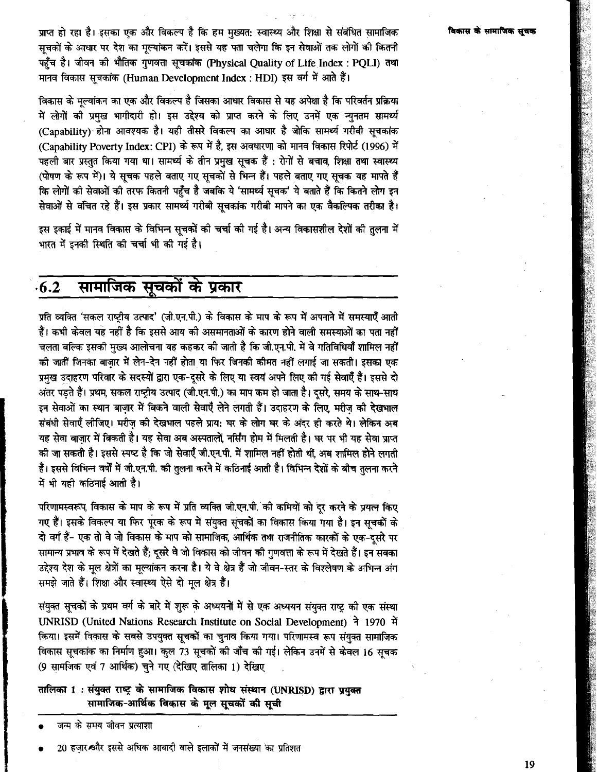प्राप्त हो रहा है। इसका एक और विकल्प है कि हम मख्यत: स्वास्थ्य और शिक्षा से संबंधित सामाजिक सूचकों के आधार पर देश का मूल्यांकन करें। इससे यह पता चलेगा कि इन सेवाओं तक लोगों की कितनी ू<br>पहुँच है। जीवन की भौतिक गुणवत्ता सूचकांक (Physical Quality of Life Index : PQLI) तथा मानव विकास सूचकांक (Human Development Index : HDI) इस वर्ग में आते हैं।

विकास के मल्यांकन का एक और विकल्प है जिसका आधार विकास से यह अपेक्षा है कि परिवर्तन प्रक्रिया .<br>में लोगों को प्रमुख भागीदारी हो। इस उद्देश्य को प्राप्त करने के लिए उनमें एक न्युनतम सामर्थ्य (Capability) होना आवश्यक है। यही तीसरे विकल्प का आधार है जोकि सामर्थ्य गरीबी सूचकांक (Capability Poverty Index: CPI) के रूप में है, इस अवधारणा को मानव विकास रिपोर्ट (1996) में पहली बार प्रस्तत किया गया था। सामर्थ्य के तीन प्रमुख सूचक हैं : रोगों से बचाव, शिक्षा तथा स्वास्थ्य (पोषण के रूप में)। ये सूचक पहले बताए गए सूचकों से भिन्न हैं। पहले बताए गए सूचक यह मापते हैं कि लोगों की सेवाओं को तरफ कितनी पहुँच है जबकि ये 'सामर्थ्य सूचक' ये बताते हैं कि कितने लोग इन सेवाओं से वंचित रहे हैं। इस प्रकार सामर्थ्य गरीबी सचकांक गरीबी मापने का एक वैकल्पिक तरीका है।

इस इकाई में मानव विकास के विभिन्न सूचकों की चर्चा की गई है। अन्य विकासशील देशों की तुलना में भारत में इनकी स्थिति की चर्चा भी की गई है।

### सामाजिक सूचकों के प्रकार  $6.2$

प्रति व्यक्ति 'सकल राष्टीय उत्पाद' (जी.एन.पी.) के विकास के माप के रूप में अपनाने में समस्याएँ आती हैं। कभी केवल यह नहीं है कि इससे आय की असमानताओं के कारण होने वाली समस्याओं का पता नहीं चलता बल्कि इसकी मुख्य आलोचना यह कहकर की जाती है कि जी.एन.पी. में वे गतिविधियाँ शामिल नहीं की जातीं जिनका बाज़ार में लेन-देन नहीं होता या फिर जिनकी कीमत नहीं लगाई जा सकती। इसका एक प्रमुख उदाहरण परिवार के सदस्यों द्वारा एक-दुसरे के लिए या स्वयं अपने लिए की गई सेवाएँ हैं। इससे दो अंतर पड़ते हैं। प्रथम, सकल राष्ट्रीय उत्पाद (जी.एन.पी.) का माप कम हो जाता है। दूसरे, समय के साथ-साथ इन सेवाओं का स्थान बाज़ार में बिकने वाली सेवाएँ लेने लगती हैं। उदाहरण के लिए मरीज की देखभाल संबंधी सेवाएँ लीजिए। मरीज की देखभाल पहले प्राय: घर के लोग घर के अंदर ही करते थे। लेकिन अब यह सेवा बाजार में बिकती है। यह सेवा अब अस्पतालों नर्सिंग होम में मिलती है। घर पर भी यह सेवा प्राप्त की जा सकती है। इससे स्पष्ट है कि जो सेवाएँ जी.एन.पी. में शामिल नहीं होती थीं, अब शामिल होने लगती हैं। इससे विभिन्न वर्षों में जी.एन.पी. की तुलना करने में कठिनाई आती है। विभिन्न देशों के बीच तुलना करने में भी यही कठिनाई आती है।

परिणामस्वरूप, विकास के माप के रूप में प्रति व्यक्ति जी.एन.पी. की कमियों को दूर करने के प्रयत्न किए गए हैं। इसके विकल्प या फिर पूरक के रूप में संयुक्त सूचकों का विकास किया गया है। इन सूचकों के दो वर्ग हैं- एक तो वे जो विकास के माप को सामाजिक, आर्थिक तथा राजनीतिक कारकों के एक-दूसरे पर सामान्य प्रभाव के रूप में देखते हैं; दूसरे वे जो विकास को जीवन की गुणवत्ता के रूप में देखते हैं। इन सबका उद्देश्य देश के मूल क्षेत्रों का मूल्यांकन करना है। ये वे क्षेत्र हैं जो जीवन-स्तर के विश्लेषण के अभिन्न अंग समझे जाते हैं। शिक्षा और स्वास्थ्य ऐसे दो मूल क्षेत्र हैं।

संयुक्त सूचकों के प्रथम वर्ग के बारे में शुरू के अध्ययनों में से एक अध्ययन संयुक्त राष्ट्र की एक संस्था UNRISD (United Nations Research Institute on Social Development) ने 1970 में किया। इसमें विकास के सबसे उपयुक्त सूचकों का चुनाव किया गया। परिणामस्व रूप संयुक्त सामाजिक विकास सूचकांक का निर्माण हुआ। कुल 73 सूचकों की जाँच की गई। लेकिन उनमें से केवल 16 सूचक (9 सामजिक एवं 7 आर्थिक) चुने गए (देखिए तालिका 1) देखिए

तालिका 1: संयुक्त राष्ट्र के सामाजिक विकास शोध संस्थान (UNRISD) द्वारा प्रयुक्त सामाजिक-आर्थिक विकास के मूल सूचकों की सूची

जन्म के समय जीवन प्रत्याशा

20 हज़ार और इससे अधिक आबादी वाले इलाकों में जनसंख्या का प्रतिशत

19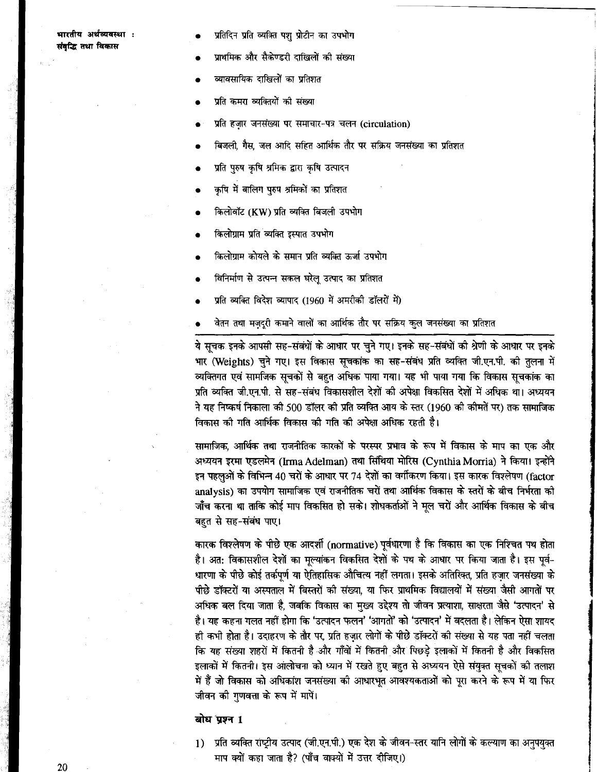### भारतीय अर्थव्यवस्था : संबद्धि तथा विकास

- प्रतिदिन प्रति व्यक्ति पशु प्रोटीन का उपभोग
- प्राथमिक और सैकेण्डरी दाखिलों की संख्या
- व्यावसायिक दाखिलों का प्रतिशत
- पति कमरा व्यक्तियों की संख्या
- प्रति हजार जनसंख्या पर समाचार-पत्र चलन (circulation)
- बिजली, गैस, जल आदि सहित आर्थिक तौर पर सक्रिय जनसंख्या का प्रतिशत
- प्रति परुष कषि श्रमिक द्वारा कषि उत्पादन
- कषि में बालिग परुष श्रमिकों का प्रतिशत
- किलोवॉट (KW) प्रति व्यक्ति बिजली उपभोग
- किलोग्राम प्रति व्यक्ति इस्पात उपभोग
- किलोग्राम कोयले के समान प्रति व्यक्ति ऊर्जा उपभोग
- विनिर्माण से उत्पन्न सकल घरेलू उत्पाद का प्रतिशत
- प्रति व्यक्ति विदेश व्यापाद (1960 में अमरीकी डॉलरों में)
- वेतन तथा मजदरी कमाने वालों का आर्थिक तौर पर सक्रिय कल जनसंख्या का प्रतिशत

ये सूचक इनके आपसी सह-संबंधों के आधार पर चुने गए। इनके सह-संबंधों की श्रेणी के आधार पर इनके भार (Weights) चुने गए। इस विकास सुचकांक का सह-संबंध प्रति व्यक्ति जी.एन.पी. की तुलना में व्यक्तिगत एवं सामजिक सुचकों से बहुत अधिक पाया गया। यह भी पाया गया कि विकास सुचकांक का प्रति व्यक्ति जी.एन.पी. से सह-संबंध विकासशील देशों की अपेक्षा विकसित देशों में अधिक था। अध्ययन ने यह निष्कर्ष निकाला की 500 डॉलर की प्रति व्यक्ति आय के स्तर (1960 की कीमतें पर) तक सामाजिक विकास की गति आर्थिक विकास की गति की अपेक्षा अधिक रहती है।

सामाजिक, आर्थिक तथा राजनीतिक कारकों के परस्पर प्रभाव के रूप में विकास के माप का एक और अध्ययन इरमा एडलमेन (Irma Adelman) तथा सिंथिया मोरिस (Cynthia Morria) ने किया। इन्होंने इन पहलुओं के विभिन्न 40 चरों के आधार पर 74 देशों का वर्गीकरण किया। इस कारक विश्लेषण (factor analysis) का उपयोग सामाजिक एवं राजनीतिक चरों तथा आर्थिक विकास के स्तरों के बीच निर्भरता की जाँच करना था ताकि कोई माप विकसित हो सके। शोधकर्ताओं ने मूल चरों और आर्थिक विकास के बीच बहत से सह-संबंध पाए।

कारक विश्लेषण के पीछे एक आदर्शी (normative) पूर्वधारणा है कि विकास का एक निश्चित पथ होता है। अत: विकासशील देशों का मूल्यांकन विकसित देशों के पथ के आधार पर किया जाता है। इस पूर्व-धारणा के पीछे कोई तर्कपूर्ण या ऐतिहासिक औचित्य नहीं लगता। इसके अतिरिक्त, प्रति हज़ार जनसंख्या के पीछे डॉक्टरों या अस्पताल में बिस्तरों की संख्या, या फिर प्राथमिक विद्यालयों में संख्या जैसी आगतों पर अधिक बल दिया जाता है, जबकि विकास का मुख्य उद्देश्य तो जीवन प्रत्याशा, साक्षरता जैसे 'उत्पादन' से है। यह कहना गलत नहीं होगा कि 'उत्पादन फलन' 'आगतों' को 'उत्पादन' में बदलता है। लेकिन ऐसा शायद ही कभी होता है। उदाहरण के तौर पर, प्रति हजार लोगों के पीछे डॉक्टरों की संख्या से यह पता नहीं चलता कि यह संख्या शहरों में कितनी है और गाँवों में कितनी और पिछड़े इलाकों में कितनी है और विकसित इलाकों में कितनी। इस आलोचना को ध्यान में रखते हुए बहुत से अध्ययन ऐसे संयुक्त सूचकों की तलाश में हैं जो विकास को अधिकांश जनसंख्या की आधारभूत आवश्यकताओं को पूरा करने के रूप में या फिर जीवन की गणवत्ता के रूप में मापें।

# बोध प्रश्न 1

1) प्रति व्यक्ति राष्ट्रीय उत्पाद (जी.एन.पी.) एक देश के जीवन-स्तर यानि लोगों के कल्याण का अनुपयुक्त माप क्यों कहा जाता है? (पाँच वाक्यों में उत्तर दीजिए।)

20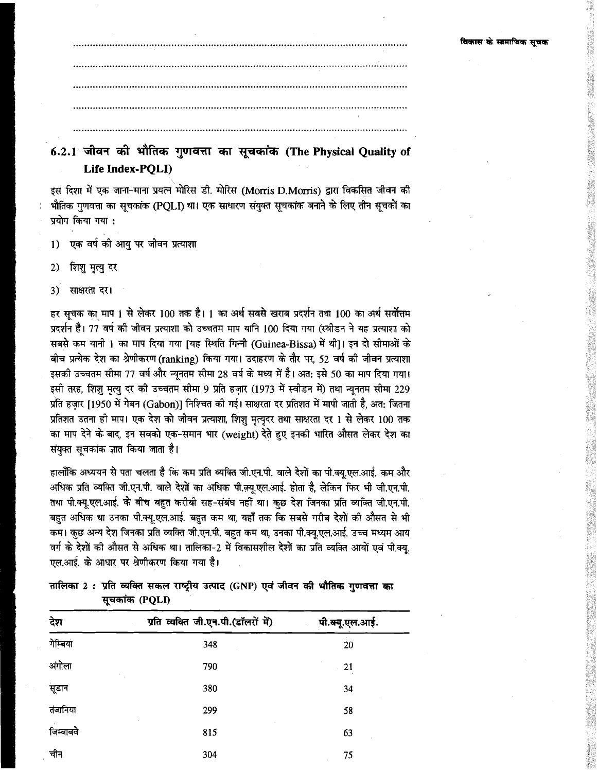# 6.2.1 जीवन की भौतिक गुणवत्ता का सूचकांक (The Physical Quality of Life Index-PQLI)

इस दिशा में एक जाना-माना प्रयत्न मोरिस डी. मोरिस (Morris D.Morris) द्वारा विकसित जीवन की भौतिक गुणवत्ता का सूचकांक (PQLI) था। एक साधारण संयुक्त सूचकांक बनाने के लिए तीन सूचकों का प्रयोग किया गया :

एक वर्ष की आयु पर जीवन प्रत्याशा  $1)$ 

शिशु मृत्यु दर 2)

साक्षरता दर। 3)

हर सचक का माप 1 से लेकर 100 तक है। 1 का अर्थ सबसे खराब प्रदर्शन तथा 100 का अर्थ सर्वोत्तम प्रदर्शन है। 77 वर्ष की जीवन प्रत्याशा को उच्चतम माप यानि 100 दिया गया (स्वीडन ने यह प्रत्याशा को सबसे कम यानी 1 का माप दिया गया |यह स्थिति गिन्नी (Guinea-Bissa) में थी।। इन दो सीमाओं के बीच प्रत्येक देश का श्रेणीकरण (ranking) किया गया। उदाहरण के तौर पर, 52 वर्ष की जीवन प्रत्याशा इसकी उच्चतम सीमा 77 वर्ष और न्यूनतम सीमा 28 वर्ष के मध्य में है। अत: इसे 50 का माप दिया गया। इसी तरह, शिशु मृत्यु दर की उच्चतम सीमा 9 प्रति हज़ार (1973 में स्वीडन में) तथा न्यूनतम सीमा 229 प्रति हजार [1950 में गेबन (Gabon)] निश्चित की गई। साक्षरता दर प्रतिशत में मापी जाती है, अत: जितना प्रतिशत उतना ही माप। एक देश को जीवन प्रत्याशा, शिश मत्यदर तथा साक्षरता दर 1 से लेकर 100 तक का माप देने के बाद, इन सबको एक-समान भार (weight) देते हुए इनकी भारित औसत लेकर देश का संयुक्त सूचकांक ज्ञात किया जाता है।

हालाँकि अध्ययन से पता चलता है कि कम प्रति व्यक्ति जी.एन.पी. वाले देशों का पी.क्य.एल.आई. कम और अधिक प्रति व्यक्ति जी.एन.पी. वाले देशों का अधिक पी.क़्यू.एल.आई. होता है, लेकिन फिर भी जी.एन.पी. तथा पी.क्यू.एल.आई. के बीच बहुत करीबी सह-संबंध नहीं था। कुछ देश जिनका प्रति व्यक्ति जी.एन.पी. बहुत अधिक था उनका पी.क्यू.एल.आई. बहुत कम था, यहाँ तक कि सबसे गरीब देशों की औसत से भी कम। कुछ अन्य देश जिनका प्रति व्यक्ति जी.एन.पी. बहुत कम था, उनका पी.क्यू.एल.आई. उच्च मध्यम आय वर्ग के देशों की औसत से अधिक था। तालिका-2 में विकासशील देशों का प्रति व्यक्ति आयों एवं पी.क्यू. एल.आई. के आधार पर श्रेणीकरण किया गया है।

तालिका 2: प्रति व्यक्ति सकल राष्ट्रीय उत्पाद (GNP) एवं जीवन की भौतिक गुणवत्ता का सूचकांक (PQLI)

| देश       | प्रति व्यक्ति जी.एन.पी.(डॉलरों में) | पी.क्यू.एल.आई. |
|-----------|-------------------------------------|----------------|
| गेम्बिया  | 348                                 | 20             |
| अंगोला    | 790                                 | 21             |
| सूडान     | 380                                 | 34             |
| तंजानिया  | 299                                 | 58             |
| जिम्बाबवे | 815                                 | 63             |
| चीन       | 304                                 | 75             |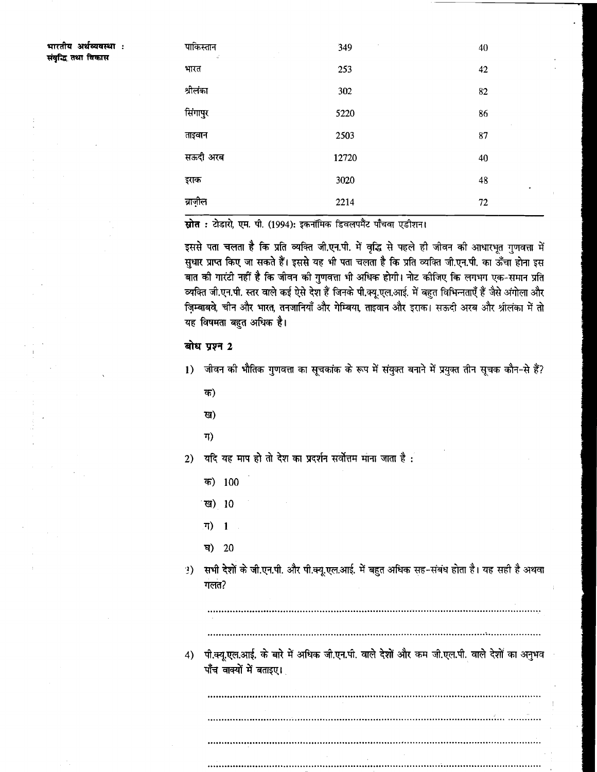भारतीय अर्थव्यवस्था : संबद्धि तथा विकास

| पाकिस्तान<br>$\vec{q}$ | 349   | 40              |
|------------------------|-------|-----------------|
| भारत                   | 253   | 42              |
| श्रीलंका               | 302   | 82              |
| सिंगापुर               | 5220  | 86              |
| ताइवान                 | 2503  | 87              |
| सऊदी अरब               | 12720 | 40              |
| इराक                   | 3020  | 48<br>$\bullet$ |
| ब्राज़ील               | 2214  | 72              |

स्रोत : टोडारो, एम. पी. (1994): इकनॉमिक डिवलपमैंट पाँचवा एडीशन।

इससे पता चलता है कि प्रति व्यक्ति जी.एन.पी. में वृद्धि से पहले ही जीवन की आधारभृत गुणवत्ता में .<br>सुधार प्राप्त किए जा सकते हैं। इससे यह भी पता चलता है कि प्रति व्यक्ति जी.एन.पी. का ऊँचा होना इस बात की गारंटी नहीं है कि जीवन की गुणवत्ता भी अधिक होगी। नोट कीजिए कि लगभग एक-समान प्रति व्यक्ति जी.एन.पी. स्तर वाले कई ऐसे देश हैं जिनके पी.क्यू.एल.आई. में बहुत विभिन्नताएँ हैं जैसे अंगोला और जिम्बाबवे, चीन और भारत, तनजानियाँ और गेम्बिया, ताइवान और इराक। सऊदी अरब और श्रीलंका में तो यह विषमता बहुत अधिक है।

# बोध प्रश्न 2

- 1) जीवन की भौतिक गुणवत्ता का सूचकांक के रूप में संयुक्त बनाने में प्रयुक्त तीन सूचक कौन-से हैं?
	- क)
	- ख)
	- ग)

2) यदि यह माप हो तो देश का प्रदर्शन सर्वोत्तम माना जाता है :

- क) 100
- <sup>ा</sup>ख) 10
- ग)  $\mathbf{1}$
- घ)  $20$
- 3) सभी देशों के जी.एन.पी. और पी.क्यू.एल.आई. में बहुत अधिक सह-संबंध होता है। यह सही है अथवा  $\eta$ लंत $\eta$

4) पी.क्यू.एल.आई. के बारे में अधिक जी.एन.पी. वाले देशों और कम जी.एल.पी. वाले देशों का अनुभव पाँच वाक्यों में बताइए।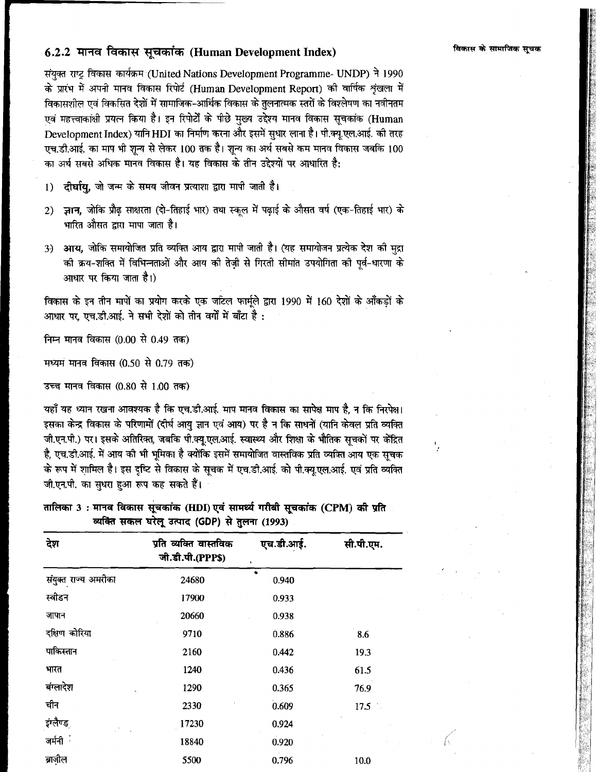# 6.2.2 मानव विकास सूचकांक (Human Development Index)

संयुक्त राष्ट्र विकास कार्यक्रम (United Nations Development Programme- UNDP) ने 1990 के प्रारंभ में अपनी मानव विकास रिपोर्ट (Human Development Report) की वार्षिक शृंखला में विकासशील एवं विकसित देशों में सामाजिक-आर्थिक विकास के तुलनात्मक स्तरों के विश्लेषण का नवीनतम एवं महत्त्वाकांक्षी प्रयत्न किया है। इन रिपोर्टों के पीछे मुख्य उद्देश्य मानव विकास सूचकांक (Human Development Index) यानि HDI का निर्माण करना और इसमें सुधार लाना है। पी.क्यू.एल.आई. की तरह एच.डी.आई. का माप भी शुन्य से लेकर 100 तक है। शुन्य का अर्थ सबसे कम मानव विकास जबकि 100 का अर्थ सबसे अधिक मानव विकास है। यह विकास के तीन उद्देश्यों पर आधारित है:

दीर्घायु, जो जन्म के समय जीवन प्रत्याशा द्वारा मापी जाती है।  $1)$ 

- ज्ञान, जोकि प्रौढ़ साक्षरता (दो-तिहाई भार) तथा स्कूल में पढ़ाई के औसत वर्ष (एक-तिहाई भार) के  $2)$ भारित औसत द्वारा मापा जाता है।
- 3) आय, जोकि समायोजित प्रति व्यक्ति आय द्वारा मापी जाती है। (यह समायोजन प्रत्येक देश की मृद्रा की क्रय-शक्ति में विभिन्नताओं और आय की तेज़ी से गिरती सीमांत उपयोगिता की पूर्व-धारणा के आधार पर किया जाता है।)

विकास के इन तीन मापों का प्रयोग करके एक जटिल फार्मुले द्वारा 1990 में 160 देशों के आँकड़ों के आधार पर, एच.डी.आई. ने सभी देशों को तीन वर्गों में बाँटा है:

निम्न मानव विकास (0.00 से 0.49 तक)

मध्यमं मानव विकास (0.50 से 0.79 तक)

उच्च मानव विकास (0.80 से 1.00 तक)

यहाँ यह ध्यान रखना आवश्यक है कि एच.डी.आई. माप मानव विकास का सापेक्ष माप है, न कि निरपेक्ष। इसका केन्द्र विकास के परिणामों (दीर्घ आयु ज्ञान एवं आय) पर है न कि साधनों (यानि केवल प्रति व्यक्ति जी.एन.पी.) पर। इसके अतिरिक्त, जबकि पी.क्यू.एल.आई. स्वास्थ्य और शिक्षा के भौतिक सूचकों पर केंद्रित है, एच.डी.आई. में आय की भी भूमिका है क्योंकि इसमें समायोजित वास्तविक प्रति व्यक्ति आय एक सूचक के रूप में शामिल है। इस दृष्टि से विकास के सूचक में एच.डी.आई. को पी.क्यू.एल.आई. एवं प्रति व्यक्ति जी.एन.पी. का सुधरा हुआ रूप कह सकते हैं।

तालिका 3 : मानव विकास सूचकांक (HDI) एवं सामर्थ्य गरीबी सूचकांक (CPM) की प्रति व्यक्ति सकल घरेलू उत्पाद (GDP) से तुलना (1993)

| देश                  | प्रति व्यक्ति वास्तविक<br>जी.डी.पी.(PPP\$) | एच.डी.आई.<br>$\mathbf{r}$ | सी.पी.एम. |
|----------------------|--------------------------------------------|---------------------------|-----------|
| संयुक्त राज्य अमरीका | 24680                                      | 0.940                     |           |
| स्वीडन               | 17900                                      | 0.933                     |           |
| जापान                | 20660                                      | 0.938                     |           |
| दक्षिण कोरिया        | 9710                                       | 0.886                     | 8.6       |
| पाकिस्तान            | 2160                                       | 0.442                     | 19.3      |
| भारत                 | 1240                                       | 0.436                     | 61.5      |
| बंग्लादेश            | 1290                                       | 0.365                     | 76.9      |
| चीन                  | 2330                                       | 0.609                     | 17.5      |
| इंग्लैण्ड            | 17230                                      | 0.924                     |           |
| जर्मनी <sup>ः</sup>  | 18840                                      | 0.920                     |           |
| ब्राज़ील             | 5500                                       | 0.796                     | 10.0      |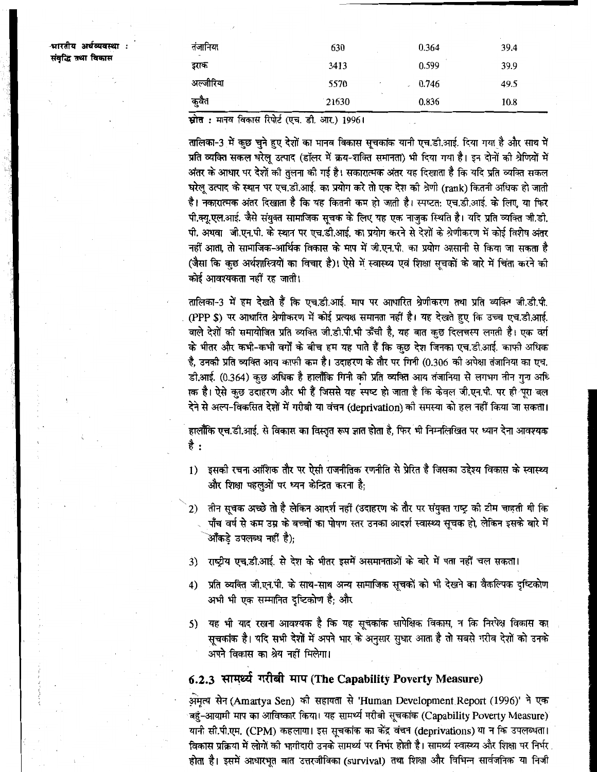श्मारतीय अर्थव्यवस्था : संवद्धि तथा विकास

| तंजानिया<br>m.                             | 630   | 0.364    | 39.4 |
|--------------------------------------------|-------|----------|------|
| इराक                                       | 3413  | 0.599    | 39.9 |
| अल्जीरिया                                  | 5570  | $-0.746$ | 49.5 |
| कुवैत                                      | 21630 | 0.836    | 10.8 |
| $\bullet$<br>.<br>$\overline{\phantom{a}}$ |       |          |      |

**स्रोत :** मानव विकास रिपोर्ट (एच. डी. आर.) 1996।

तालिका-3 में कुछ चुने हुए देशों का मानव विकास सूचकांक यानी एच.डी.आई. दिया गया है और साथ में प्रति व्यक्ति सकल घरेलु उत्पाद (डॉलर में क्रय-शक्ति समानता) भी दिया गया है। इन दोनों की श्रेणियों में अंतर के आधार पर देशों की तुलना की गई है। सकारात्मक अंतर यह दिखाता है कि यदि प्रति व्यक्ति सकल घरेलु उत्पाद के स्थान पर एच.डी.आई. का प्रयोग करे तो एक देश की श्रेणी (rank) कितनी अधिक हो जाती है। नकारात्मक अंतर दिखाता है कि यह कितनी कम हो जाती है। स्पष्टत: एच.डी.आई. के लिए, या फिर पी.क्यू.एल.आई. जैसे संयुक्त सामाजिक सूचक के लिए यह एक नाजुक स्थिति है। यदि प्रति व्यक्ति जी.डी. पी. अथवा जी.एन.पी. के स्थान पर एच.डी.आई. का प्रयोग करने से देशों के श्रेणीकरण में कोई विशेष अंतर नहीं आता, तो सामाजिक-आर्थिक विकास के माप में जी.एन.पी. का प्रयोग आसानी से किया जा सकता है (जैसा कि कुछ अर्थशास्त्रियों का विचार है)। ऐसे में स्वास्थ्य एवं शिक्षा सूचकों के बारे में चिंता करने की कोई आवश्यकता नहीं रह जाती।

तालिका-3 में हम देखते हैं कि एच.डी.आई. माप पर आधारित श्रेणीकरण तथा प्रति व्यक्ति जी.डी.पी. (PPP \$) पर आधारित श्रेणीकरण में कोई प्रत्यक्ष समानता नहीं है। यह देखते हुए कि उच्च एच.डी.आई. वाले देशों को समायोजित प्रति व्यक्ति जी.डी.पी.भी ऊँची है, यह बात कुछ दिलचस्प लगती है। एक वर्ग के भीतर और कभी-कभी वर्गों के बीच हम यह पाते हैं कि कछ देश जिनका एच.डी.आई. काफी अधिक है. उनकी प्रति व्यक्ति आय काफी कम है। उदाहरण के तौर पर गिनी (0.306 की अपेक्षा तंजानिया का एच. डी.आई. (0.364) कुछ अधिक है हालाँकि गिनी की प्रति व्यक्ति आय तंजानिया से लगभग तीन गना अधि ाक है। ऐसे कुछ उदाहरण और भी हैं जिससे यह स्पष्ट हो जाता है कि केवल जी.एन.पी. पर ही पूरा बल देने से अल्प-विकसित देशों में गरीबी या वंचन (deprivation) की समस्या को हल नहीं किया जा सकता।

हालाँकि एच.डी.आई. से विकास का विस्तृत रूप ज्ञात होता है, फिर भी निम्नलिखित पर ध्यान देना आवश्यक है :

- 1) इसकी रचना आंशिक तौर पर ऐसी राजनीतिक रणनीति से प्रेरित है जिसका उद्देश्य विकास के स्वास्थ्य और शिक्षा पहलुओं पर ध्यन केन्द्रित करना है:
- 2) लीन सूचक अच्छे तो है लेकिन आदर्श नहीं (उदाहरण के तौर पर संयुक्त राष्ट्र की टीम चाहती थी कि पाँच वर्ष से कम उम्र के बच्चों का पोषण स्तर उनका आदर्श स्वास्थ्य सचक हो, लेकिन इसके बारे में .<br>ऑकड़े उपलब्ध नहीं है):
- 3) राष्ट्रीय एच.डी.आई. से देश के भीतर इसमें असमानताओं के बारे में पता नहीं चल सकता।
- 4) प्रति व्यक्ति जी.एन.पी. के साथ-साथ अन्य सामाजिक सूचकों को भी देखने का वैकल्पिक दृष्टिकोण अभी भी एक सम्मानित दृष्टिकोण है; और
- 5) यह भी याद रखना आवश्यक है कि यह सूचकांक सापेक्षिक विकास, न कि निरपेक्ष विकास का सूचकांक है। यदि सभी देशों में अपने भार के अनुसार सुधार आता है तो सबसे गरीब देशों को उनके अपने विकास का श्रेय नहीं मिलेगा।

# 6.2.3 सामर्थ्य गरीबी माप (The Capability Poverty Measure)

अ़मृत्य सेन (Amartya Sen) की सहायता से 'Human Development Report (1996)' ने एक बहुं-आयामी माप का आविष्कार किया। यह सामर्थ्य गरीबी सूचकांक (Capability Poverty Measure) यानी सी.पी.एम. (CPM) कहलाया। इस सूचकांक का केंद्र वंचन (deprivations) था न कि उपलब्धता। विकास प्रक्रिया में लोगों की भागीदारी उनके सामर्थ्य पर निर्भर होती है। सामर्थ्य स्वास्थ्य और शिक्षा पर निर्भर होता है। इसमें आधारभूत बात उत्तरजीविका (survival) तथा शिक्षा और विभिन्न सार्वजनिक या निजी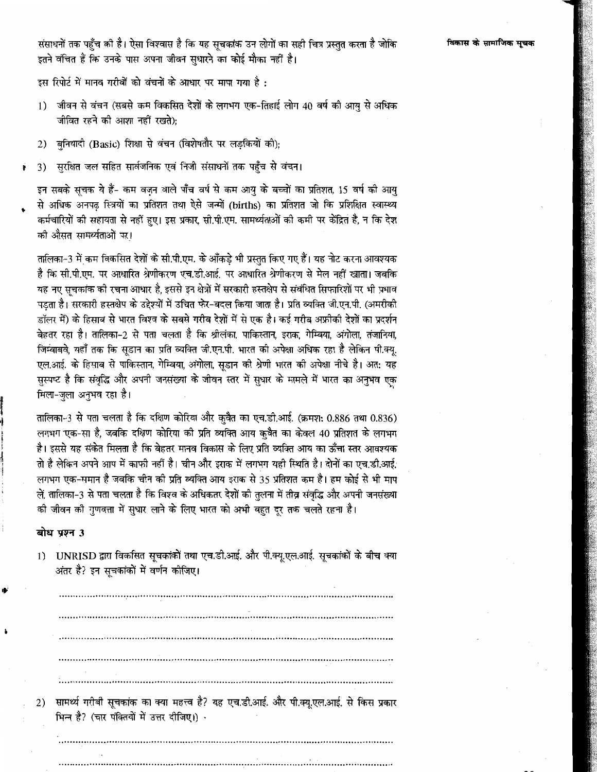संसाधनों तक पहुँच की है। ऐसा विश्वास है कि यह सूचकांक उन लोगों का सही चित्र प्रस्तुत करता है जोकि इतने वंचित हैं कि उनके पास अपना जीवन सुधारने का कोई मौका नहीं है।

इस रिपोर्ट में मानव गरीबों को वंचनों के आधार पर मापा गया है :

- जीवन से वंचन (सबसे कम विकसित देशों के लगभग एक-तिहाई लोग 40 वर्ष की आयु से अधिक  $1)$ जीवित रहने की आशा नहीं रखते):
- 2) बुनियादी (Basic) शिक्षा से वंचन (विशेषतौर पर लड़कियों की);
- सुरक्षित जल सहित सार्वजनिक एवं निजी संसाधनों तक पहुँच से वंचन। 3) Ť

इन सबके सूचक ये हैं- कम वजन वाले पाँच वर्ष से कम आयु के बच्चों का प्रतिशत, 15 वर्ष की आयु से अधिक अनपढ़ स्त्रियों का प्रतिशत तथा ऐसे जन्मों (births) का प्रतिशत जो कि प्रशिक्षित स्वास्थ्य कर्मचारियों की सहायता से नहीं हुए। इस प्रकार, सी.पी.एम. सामर्थ्यताओं की कमी पर केंद्रित है, न कि देश को औसत सामर्थ्यताओं पर।

तालिका-3 में कम विकसित देशों के सी.पी.एम. के आँकड़े भी प्रस्तुत किए गए हैं। यह नोट करना आवश्यक है कि सी.पी.एम. पर आधारित श्रेणीकरण एच.डी.आई. पर आधारित श्रेणीकरण से मेल नहीं खाता। जबकि यह नए सूचकांक की रचना आधार है, इससे इन क्षेत्रों में सरकारी हस्तक्षेप से संबंधित सिफारिशों पर भी प्रभाव पडता है। सरकारी हस्तक्षेप के उद्देश्यों में उचित फेर-बदल किया जाता है। प्रति व्यक्ति जी.एन.पी. (अमरीकी डॉलर में) के हिसाब से भारत विश्व के सबसे गरीब देशों में से एक है। कई गरीब अफ्रीकी देशों का प्रदर्शन बेहतर रहा है। तालिका-2 से पता चलता है कि श्रीलंका, पाकिस्तान, इराक, गेम्बिया, अंगोला, तंजानिया, जिम्बाबवे, यहाँ तक कि सडान का प्रति व्यक्ति जी.एन.पी. भारत की अपेक्षा अधिक रहा है लेकिन पी.क्यू. एल.आई. के हिसाब से पाकिस्तान, गेम्बिया, अंगोला, सूडान की श्रेणी भारत की अपेक्षा नीचे है। अत: यह सुस्पष्ट है कि संवृद्धि और अपनी जनसंख्या के जीवन स्तर में सुधार के मामले में भारत का अनुभव एक मिला-जुला अनुभव रहा है।

तालिका-3 से पता चलता है कि दक्षिण कोरिया और कुवैत का एच.डी.आई. (क्रमश: 0.886 तथा 0.836) लगभग एक-सा है, जबकि दक्षिण कोरिया की प्रति व्यक्ति आय कुवैत का केवल 40 प्रतिशत के लगभग है। इससे यह संकेत मिलता है कि बेहतर मानव विकास के लिए प्रति व्यक्ति आय का ऊँचा स्तर आवश्यक तो है लेकिन अपने आप में काफी नहीं है। चीन और इराक में लगभग यही स्थिति है। दोनों का एच.डी.आई. लगभग एक-समान है जबकि चीन की प्रति व्यक्ति आय इराक से 35 प्रतिशत कम है। हम कोई से भी माप लें, तालिका-3 से पता चलता है कि विश्व के अधिकतर देशों की तुलना में तीव्र संवद्धि और अपनी जनसंख्या की जीवन की गुणवत्ता में सुधार लाने के लिए भारत को अभी बहुत दूर तक चलते रहना है।

# बोध प्रश्न 3

1) UNRISD द्वारा विकसित सूचकांकों तथा एच.डी.आई. और पी.क्यू.एल.आई. सूचकांकों के बीच क्या अंतर है? इन सुचकांकों में वर्णन कीजिए।

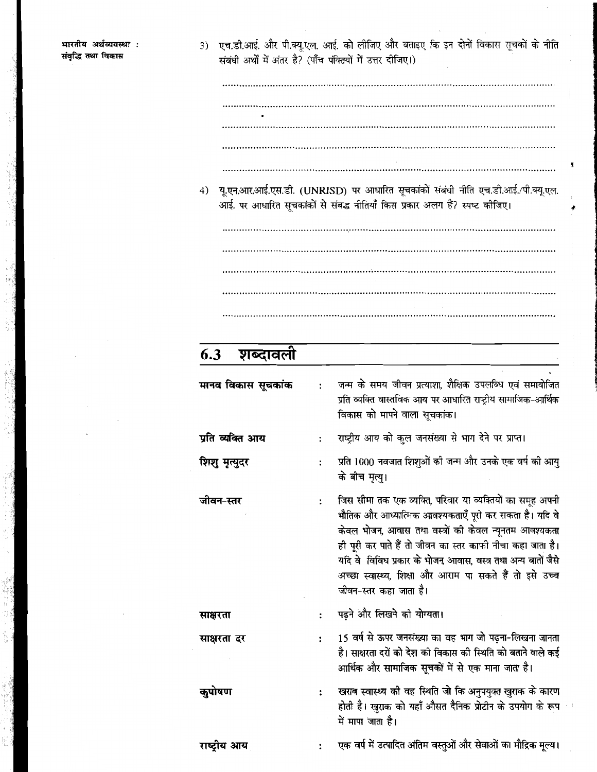3) एच.डी.आई. और पी.क्यू.एल. आई. को लीजिए और बताइए कि इन दोनों विकास सूचकों के नीति संबंधी अर्थों में अंतर है? (पाँच पंक्तियों में उत्तर दीजिए।)

भारतीय अर्थव्यवस्था : संवृद्धि तथा विकास

- 
- 4) यू.एन.आर.आई.एस.डी. (UNRISD) पर आधारित सूचकांकों संबंधी नीति एच.डी.आई./पी.क्यू.एल. आई. पर आधारित सूचकांकों से संबद्ध नीतियाँ किस प्रकार अलग हैं? स्पष्ट कीजिए।

### शब्दावली  $6.3$

| मानव विकास सूचकांक |                      | जन्म के समय जीवन प्रत्याशा, शैक्षिक उपलब्धि एवं समायोजित<br>प्रति व्यक्ति वास्तविक आय पर आधारित राष्ट्रीय सामाजिक-आर्थिक<br>विकास को मापने वाला सूचकांक।                                                                                                                                                                                                                                          |
|--------------------|----------------------|---------------------------------------------------------------------------------------------------------------------------------------------------------------------------------------------------------------------------------------------------------------------------------------------------------------------------------------------------------------------------------------------------|
| प्रति व्यक्ति आय   | $\ddot{\cdot}$       | राष्ट्रीय आय को कुल जनसंख्या से भाग देने पर प्राप्त।                                                                                                                                                                                                                                                                                                                                              |
| शिशु मृत्युदर      |                      | प्रति 1000 नवजात शिशुओं की जन्म और उनके एक वर्ष की आयु<br>के बीच मृत्यु।                                                                                                                                                                                                                                                                                                                          |
| जीवन-स्तर          | $\ddot{\phantom{a}}$ | जिस सीमा तक एक व्यक्ति, परिवार या व्यक्तियों का समूह अपनी<br>भौतिक और आध्यात्मिक आवश्यकताएँ पूरी कर सकता है। यदि वे<br>केवल भोजन, आवास तथा वस्त्रों की केवल न्यूनतम आवश्यकता<br>ही पूरी कर पाते हैं तो जीवन का स्तर काफी नीचा कहा जाता है।<br>यदि वे  विविध प्रकार के भोजन, आवास, वस्त्र तथा अन्य बातों जैसे<br>अच्छा स्वास्थ्य, शिक्षा और आराम पा सकते हैं तो इसे उच्च<br>जीवन-स्तर कहा जाता है। |
| साक्षरता           |                      | पढ़ने और लिखने की योग्यता।                                                                                                                                                                                                                                                                                                                                                                        |
| साक्षरता दर        |                      | 15 वर्ष से ऊपर जनसंख्या का वह भाग जो पढ़ना-लिखना जानता<br>है। साक्षरता दरों को देश की विकास की स्थिति को बताने वाले कई<br>आर्थिक और सामाजिक सूचकों में से एक माना जाता है।                                                                                                                                                                                                                        |
| कुपोषण             |                      | खराब स्वास्थ्य की वह स्थिति जो कि अनुपयुक्त खुराक के कारण<br>होती है। खुराक को यहाँ औसत दैनिक प्रोटीन के उपयोग के रूप<br>में मापा जाता है।                                                                                                                                                                                                                                                        |
| राष्ट्रीय आय       |                      | एक वर्ष में उत्पादित अंतिम वस्तुओं और सेवाओं का मौद्रिक मूल्य।                                                                                                                                                                                                                                                                                                                                    |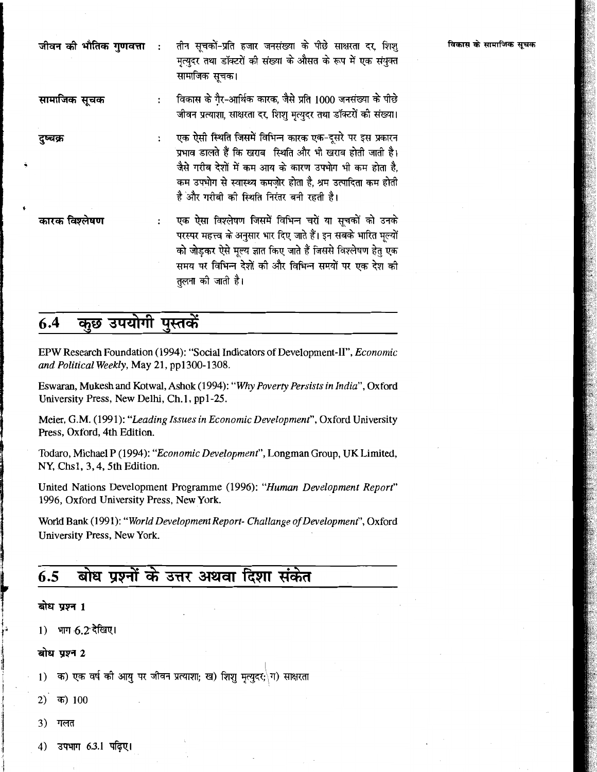|  | <b>जीवन की भौतिक गुणवत्ता  :</b> तीन सूचकों-प्रति हजार जनसंख्या के पीछे साक्षरता दर, शिश् |
|--|-------------------------------------------------------------------------------------------|
|  | मृत्युदर तथा डॉक्टरों की संख्या के औसत के रूप में एक संयुक्त                              |
|  | सामाजिक सूचक।                                                                             |

विकास के गैर-आर्थिक कारक, जैसे प्रति 1000 जनसंख्या के पीछे सामाजिक सूचक  $\ddot{\cdot}$ जीवन प्रत्याशा, साक्षरता दर, शिशु मृत्युदर तथा डॉक्टरों की संख्या।

- एक ऐसी स्थिति जिसमें विभिन्न कारक एक-दूसरे पर इस प्रकारन दुष्चक्र  $\ddot{\cdot}$ प्रभाव डालते हैं कि खराब स्थिति और भी खराब होती जाती है। जैसे गरीब देशों में कम आय के कारण उपभोग भी कम होता है, कम उपभोग से स्वास्थ्य कमज़ोर होता है, श्रम उत्पादिता कम होती है और गरीबी की स्थिति निरंतर बनी रहती है।
- कारक विश्लेषण एक ऐसा विश्लेषण जिसमें विभिन्न चरों या सूचकों को उनके  $\ddot{\cdot}$ परस्पर महत्त्व के अनुसार भार दिए जाते हैं। इन सबके भारित मूल्यों को जोड़कर ऐसे मूल्य ज्ञात किए जाते हैं जिससे विश्लेषण हेतु एक समय पर विभिन्न देशों की और विभिन्न समयों पर एक देश की तलना की जाती है।

#### कुछ उपयोगी पुस्तकें  $6.4$

EPW Research Foundation (1994): "Social Indicators of Development-II", Economic and Political Weekly, May 21, pp1300-1308.

Eswaran, Mukesh and Kotwal, Ashok (1994): "Why Poverty Persists in India", Oxford University Press, New Delhi, Ch.1, pp1-25.

Meier, G.M. (1991): "Leading Issues in Economic Development", Oxford University Press, Oxford, 4th Edition.

Todaro, Michael P (1994): "Economic Development", Longman Group, UK Limited, NY, Chs1, 3, 4, 5th Edition.

United Nations Development Programme (1996): "Human Development Report" 1996, Oxford University Press, New York.

World Bank (1991): "World Development Report- Challange of Development", Oxford University Press, New York.

### बोध प्रश्नों के उत्तर अथवा दिशा संकेत  $6.5$

# बोध प्रश्न 1

1) भाग 6.2 देखिए।

### बोध प्रश्न 2

क) एक वर्ष की आयु पर जीवन प्रत्याशा; ख) शिशु मृत्युदर; ग) साक्षरता  $1)$ 

- 2) क)  $100$
- 3) गलत
- उपभाग 6.3.1 पढिए। 4)